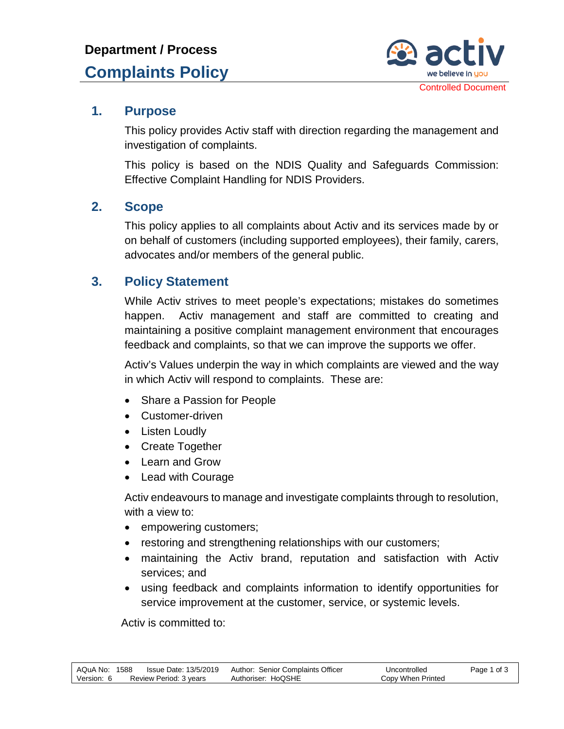

#### **1. Purpose**

This policy provides Activ staff with direction regarding the management and investigation of complaints.

This policy is based on the NDIS Quality and Safeguards Commission: Effective Complaint Handling for NDIS Providers.

#### **2. Scope**

This policy applies to all complaints about Activ and its services made by or on behalf of customers (including supported employees), their family, carers, advocates and/or members of the general public.

### **3. Policy Statement**

While Activ strives to meet people's expectations; mistakes do sometimes happen. Activ management and staff are committed to creating and maintaining a positive complaint management environment that encourages feedback and complaints, so that we can improve the supports we offer.

Activ's Values underpin the way in which complaints are viewed and the way in which Activ will respond to complaints. These are:

- Share a Passion for People
- Customer-driven
- Listen Loudly
- Create Together
- Learn and Grow
- Lead with Courage

Activ endeavours to manage and investigate complaints through to resolution, with a view to:

- empowering customers;
- restoring and strengthening relationships with our customers;
- maintaining the Activ brand, reputation and satisfaction with Activ services; and
- using feedback and complaints information to identify opportunities for service improvement at the customer, service, or systemic levels.

Activ is committed to: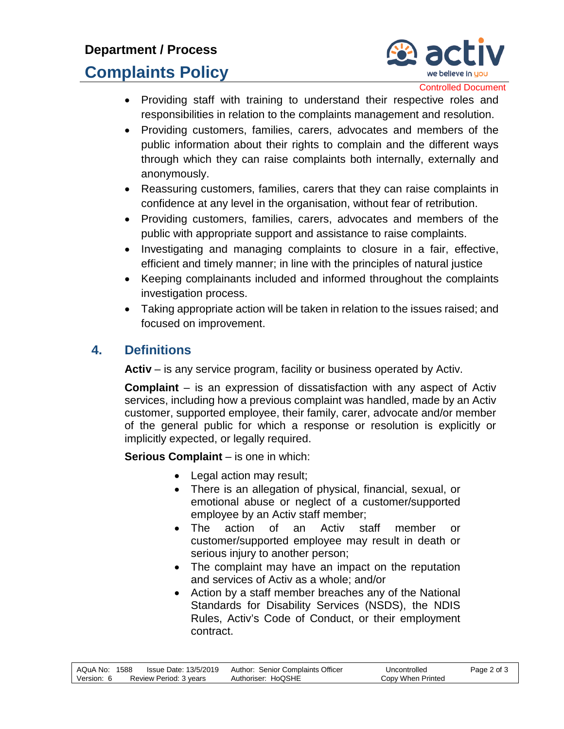## **Department / Process**

# **Complaints Policy**



Controlled Document

- Providing staff with training to understand their respective roles and responsibilities in relation to the complaints management and resolution.
- Providing customers, families, carers, advocates and members of the public information about their rights to complain and the different ways through which they can raise complaints both internally, externally and anonymously.
- Reassuring customers, families, carers that they can raise complaints in confidence at any level in the organisation, without fear of retribution.
- Providing customers, families, carers, advocates and members of the public with appropriate support and assistance to raise complaints.
- Investigating and managing complaints to closure in a fair, effective, efficient and timely manner; in line with the principles of natural justice
- Keeping complainants included and informed throughout the complaints investigation process.
- Taking appropriate action will be taken in relation to the issues raised; and focused on improvement.

## **4. Definitions**

**Activ** – is any service program, facility or business operated by Activ.

**Complaint** – is an expression of dissatisfaction with any aspect of Activ services, including how a previous complaint was handled, made by an Activ customer, supported employee, their family, carer, advocate and/or member of the general public for which a response or resolution is explicitly or implicitly expected, or legally required.

**Serious Complaint** – is one in which:

- Legal action may result;
- There is an allegation of physical, financial, sexual, or emotional abuse or neglect of a customer/supported employee by an Activ staff member;
- The action of an Activ staff member or customer/supported employee may result in death or serious injury to another person;
- The complaint may have an impact on the reputation and services of Activ as a whole; and/or
- Action by a staff member breaches any of the National Standards for Disability Services (NSDS), the NDIS Rules, Activ's Code of Conduct, or their employment contract.

| AQuA No: 1588 |                        | Issue Date: 13/5/2019 | Author: Senior Complaints Officer | Uncontrolled      | Page 2 of 3 |
|---------------|------------------------|-----------------------|-----------------------------------|-------------------|-------------|
| Version: 6    | Review Period: 3 vears |                       | Authoriser: HoQSHE                | Copy When Printed |             |